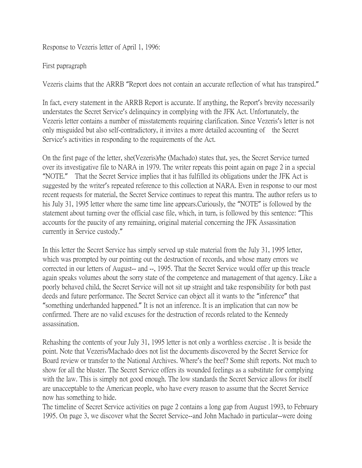Response to Vezeris letter of April 1, 1996:

## First papragraph

Vezeris claims that the ARRB "Report does not contain an accurate reflection of what has transpired."

In fact, every statement in the ARRB Report is accurate. If anything, the Report's brevity necessarily understates the Secret Service's delinquincy in complying with the JFK Act. Unfortunately, the Vezeris letter contains a number of misstatements requiring clarification. Since Vezeris's letter is not only misguided but also self-contradictory, it invites a more detailed accounting of the Secret Service's activities in responding to the requirements of the Act.

On the first page of the letter, she(Vezeris)/he (Machado) states that, yes, the Secret Service turned over its investigative file to NARA in 1979. The writer repeats this point again on page 2 in a special "NOTE." That the Secret Service implies that it has fulfilled its obligations under the JFK Act is suggested by the writer's repeated reference to this collection at NARA. Even in response to our most recent requests for material, the Secret Service continues to repeat this mantra. The author refers us to his July 31, 1995 letter where the same time line appears.Curiously, the "NOTE" is followed by the statement about turning over the official case file, which, in turn, is followed by this sentence: "This accounts for the paucity of any remaining, original material concerning the JFK Assassination currently in Service custody."

In this letter the Secret Service has simply served up stale material from the July 31, 1995 letter, which was prompted by our pointing out the destruction of records, and whose many errors we corrected in our letters of August-- and --, 1995. That the Secret Service would offer up this treacle again speaks volumes about the sorry state of the competence and management of that agency. Like a poorly behaved child, the Secret Service will not sit up straight and take responsibility for both past deeds and future performance. The Secret Service can object all it wants to the "inference" that "something underhanded happened." It is not an inference. It is an implication that can now be confirmed. There are no valid excuses for the destruction of records related to the Kennedy assassination.

Rehashing the contents of your July 31, 1995 letter is not only a worthless exercise . It is beside the point. Note that Vezeris/Machado does not list the documents discovered by the Secret Service for Board review or transfer to the National Archives. Where's the beef? Some shift reports. Not much to show for all the bluster. The Secret Service offers its wounded feelings as a substitute for complying with the law. This is simply not good enough. The low standards the Secret Service allows for itself are unacceptable to the American people, who have every reason to assume that the Secret Service now has something to hide.

The timeline of Secret Service activities on page 2 contains a long gap from August 1993, to February 1995. On page 3, we discover what the Secret Service--and John Machado in particular--were doing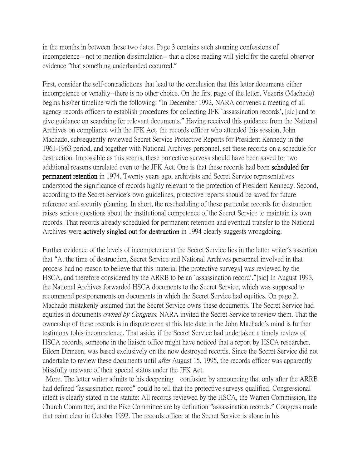in the months in between these two dates. Page 3 contains such stunning confessions of incompetence-- not to mention dissimulation-- that a close reading will yield for the careful observor evidence "that something underhanded occurred."

First, consider the self-contradictions that lead to the conclusion that this letter documents either incompetence or venality--there is no other choice. On the first page of the letter, Vezeris (Machado) begins his/her timeline with the following: "In December 1992, NARA convenes a meeting of all agency records officers to establish procedures for collecting JFK `assassination records', [sic] and to give guidance on searching for relevant documents." Having received this guidance from the National Archives on compliance with the JFK Act, the records officer who attended this session, John Machado, subsequently reviewed Secret Service Protective Reports for President Kennedy in the 1961-1963 period, and together with National Archives personnel, set these records on a schedule for destruction. Impossible as this seems, these protective surveys should have been saved for two additional reasons unrelated even to the JFK Act. One is that these records had been scheduled for permanent retention in 1974. Twenty years ago, archivists and Secret Service representatives understood the significance of records highly relevant to the protection of President Kennedy. Second, according to the Secret Service's own guidelines, protective reports should be saved for future reference and security planning. In short, the rescheduling of these particular records for destruction raises serious questions about the institutional competence of the Secret Service to maintain its own records. That records already scheduled for permanent retention and eventual transfer to the National Archives were actively singled out for destruction in 1994 clearly suggests wrongdoing.

Further evidence of the levels of incompetence at the Secret Service lies in the letter writer's assertion that "At the time of destruction, Secret Service and National Archives personnel involved in that process had no reason to believe that this material [the protective surveys] was reviewed by the HSCA, and therefore considered by the ARRB to be an `assassination record'."[sic] In August 1993, the National Archives forwarded HSCA documents to the Secret Service, which was supposed to recommend postponements on documents in which the Secret Service had equities. On page 2, Machado mistakenly assumed that the Secret Service owns these documents. The Secret Service had equities in documents *owned by Congress*. NARA invited the Secret Service to review them. That the ownership of these records is in dispute even at this late date in the John Machado's mind is further testimony tohis incompetence. That aside, if the Secret Service had undertaken a timely review of HSCA records, someone in the liaison office might have noticed that a report by HSCA researcher, Eileen Dinneen, was based exclusively on the now destroyed records. Since the Secret Service did not undertake to review these documents until *after* August 15, 1995, the records officer was apparently blissfully unaware of their special status under the JFK Act.

More. The letter writer admits to his deepening confusion by announcing that only after the ARRB had defined "assassination record" could he tell that the protective surveys qualified. Congressional intent is clearly stated in the statute: All records reviewed by the HSCA, the Warren Commission, the Church Committee, and the Pike Committee are by definition "assassination records." Congress made that point clear in October 1992. The records officer at the Secret Service is alone in his